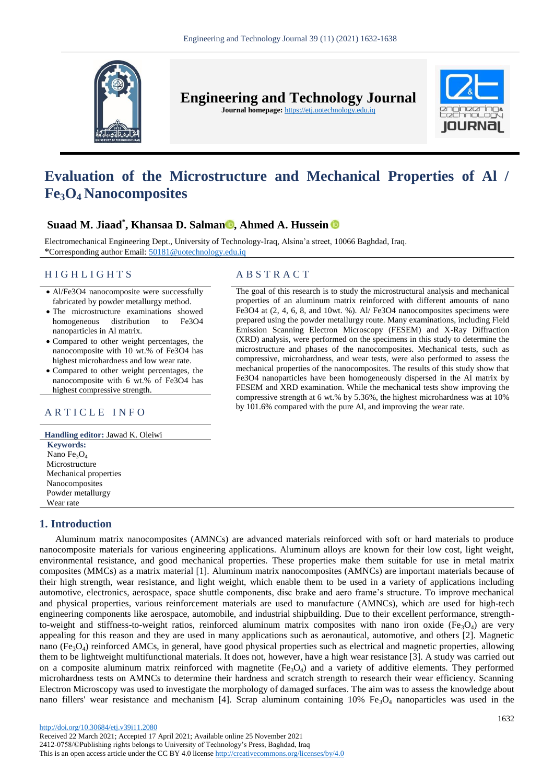

**Engineering and Technology Journal** 

**Journal homepage:** https://etj.uotechnology.edu.iq



# **Evaluation of the Microstructure and Mechanical Properties of Al / Fe3O4 Nanocomposites**

# **Suaad M. Jiaad\* , Khansaa D. Salman [,](https://orcid.org/0000-0002-0495-283X) Ahmed A. Hussein**

Electromechanical Engineering Dept., University of Technology-Iraq, Alsina'a street, 10066 Baghdad, Iraq. \*Corresponding author Email: [50181@uotechnology.edu.iq](file:///C:/Users/dell/Downloads/50181@uotechnology.edu.iq)

## H I G H L I G H T S A B S T R A C T

- Al/Fe3O4 nanocomposite were successfully fabricated by powder metallurgy method.
- The microstructure examinations showed homogeneous distribution to Fe3O4 nanoparticles in Al matrix.
- Compared to other weight percentages, the nanocomposite with 10 wt.% of Fe3O4 has highest microhardness and low wear rate.
- Compared to other weight percentages, the nanocomposite with 6 wt.% of Fe3O4 has highest compressive strength.

**Handling editor:** Jawad K. Oleiwi **Keywords:** Nano Fe<sub>3</sub>O<sub>4</sub> Microstructure Mechanical properties Nanocomposites Powder metallurgy Wear rate

# **1. Introduction**

The goal of this research is to study the microstructural analysis and mechanical properties of an aluminum matrix reinforced with different amounts of nano Fe3O4 at (2, 4, 6, 8, and 10wt. %). Al/ Fe3O4 nanocomposites specimens were prepared using the powder metallurgy route. Many examinations, including Field Emission Scanning Electron Microscopy (FESEM) and X-Ray Diffraction (XRD) analysis, were performed on the specimens in this study to determine the microstructure and phases of the nanocomposites. Mechanical tests, such as compressive, microhardness, and wear tests, were also performed to assess the mechanical properties of the nanocomposites. The results of this study show that Fe3O4 nanoparticles have been homogeneously dispersed in the Al matrix by FESEM and XRD examination. While the mechanical tests show improving the compressive strength at 6 wt.% by 5.36%, the highest microhardness was at 10% by 101.6% compared with the pure Al, and improving the wear rate.<br>A R T I C L E I N F O

Aluminum matrix nanocomposites (AMNCs) are advanced materials reinforced with soft or hard materials to produce nanocomposite materials for various engineering applications. Aluminum alloys are known for their low cost, light weight, environmental resistance, and good mechanical properties. These properties make them suitable for use in metal matrix composites (MMCs) as a matrix material [1]. Aluminum matrix nanocomposites (AMNCs) are important materials because of their high strength, wear resistance, and light weight, which enable them to be used in a variety of applications including automotive, electronics, aerospace, space shuttle components, disc brake and aero frame's structure. To improve mechanical and physical properties, various reinforcement materials are used to manufacture (AMNCs), which are used for high-tech engineering components like aerospace, automobile, and industrial shipbuilding. Due to their excellent performance, strengthto-weight and stiffness-to-weight ratios, reinforced aluminum matrix composites with nano iron oxide (Fe<sub>3</sub>O<sub>4</sub>) are very appealing for this reason and they are used in many applications such as aeronautical, automotive, and others [2]. Magnetic nano (Fe<sub>3</sub>O<sub>4</sub>) reinforced AMCs, in general, have good physical properties such as electrical and magnetic properties, allowing them to be lightweight multifunctional materials. It does not, however, have a high wear resistance [3]. A study was carried out on a composite aluminum matrix reinforced with magnetite  $(Fe_3O_4)$  and a variety of additive elements. They performed microhardness tests on AMNCs to determine their hardness and scratch strength to research their wear efficiency. Scanning Electron Microscopy was used to investigate the morphology of damaged surfaces. The aim was to assess the knowledge about nano fillers' wear resistance and mechanism [4]. Scrap aluminum containing  $10\%$  Fe<sub>3</sub>O<sub>4</sub> nanoparticles was used in the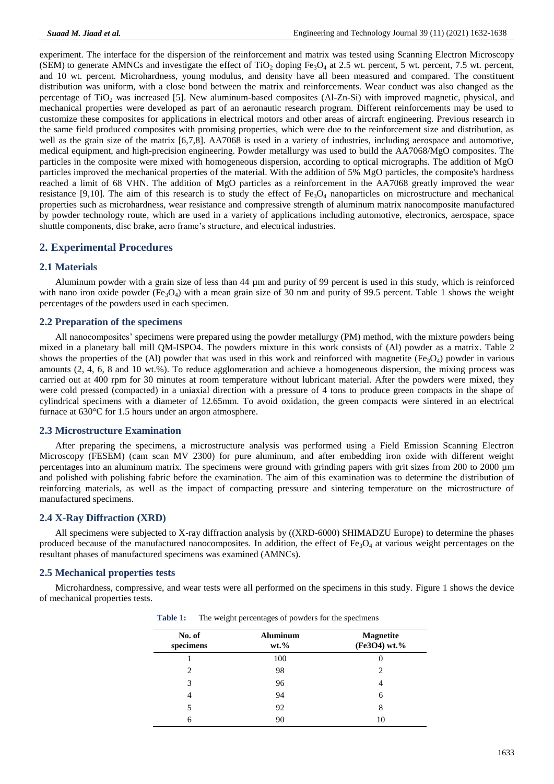experiment. The interface for the dispersion of the reinforcement and matrix was tested using Scanning Electron Microscopy (SEM) to generate AMNCs and investigate the effect of  $TiO<sub>2</sub>$  doping Fe<sub>3</sub>O<sub>4</sub> at 2.5 wt. percent, 5 wt. percent, 7.5 wt. percent, and 10 wt. percent. Microhardness, young modulus, and density have all been measured and compared. The constituent distribution was uniform, with a close bond between the matrix and reinforcements. Wear conduct was also changed as the percentage of  $TiO<sub>2</sub>$  was increased [5]. New aluminum-based composites (Al-Zn-Si) with improved magnetic, physical, and mechanical properties were developed as part of an aeronautic research program. Different reinforcements may be used to customize these composites for applications in electrical motors and other areas of aircraft engineering. Previous research in the same field produced composites with promising properties, which were due to the reinforcement size and distribution, as well as the grain size of the matrix [6,7,8]. AA7068 is used in a variety of industries, including aerospace and automotive, medical equipment, and high-precision engineering. Powder metallurgy was used to build the AA7068/MgO composites. The particles in the composite were mixed with homogeneous dispersion, according to optical micrographs. The addition of MgO particles improved the mechanical properties of the material. With the addition of 5% MgO particles, the composite's hardness reached a limit of 68 VHN. The addition of MgO particles as a reinforcement in the AA7068 greatly improved the wear resistance [9,10]. The aim of this research is to study the effect of  $Fe<sub>3</sub>O<sub>4</sub>$  nanoparticles on microstructure and mechanical properties such as microhardness, wear resistance and compressive strength of aluminum matrix nanocomposite manufactured by powder technology route, which are used in a variety of applications including automotive, electronics, aerospace, space shuttle components, disc brake, aero frame's structure, and electrical industries.

# **2. Experimental Procedures**

#### **2.1 Materials**

Aluminum powder with a grain size of less than 44 µm and purity of 99 percent is used in this study, which is reinforced with nano iron oxide powder (Fe<sub>3</sub>O<sub>4</sub>) with a mean grain size of 30 nm and purity of 99.5 percent. Table 1 shows the weight percentages of the powders used in each specimen.

#### **2.2 Preparation of the specimens**

All nanocomposites' specimens were prepared using the powder metallurgy (PM) method, with the mixture powders being mixed in a planetary ball mill QM-ISPO4. The powders mixture in this work consists of (Al) powder as a matrix. Table 2 shows the properties of the (Al) powder that was used in this work and reinforced with magnetite ( $Fe<sub>3</sub>O<sub>4</sub>$ ) powder in various amounts (2, 4, 6, 8 and 10 wt.%). To reduce agglomeration and achieve a homogeneous dispersion, the mixing process was carried out at 400 rpm for 30 minutes at room temperature without lubricant material. After the powders were mixed, they were cold pressed (compacted) in a uniaxial direction with a pressure of 4 tons to produce green compacts in the shape of cylindrical specimens with a diameter of 12.65mm. To avoid oxidation, the green compacts were sintered in an electrical furnace at 630°C for 1.5 hours under an argon atmosphere.

#### **2.3 Microstructure Examination**

After preparing the specimens, a microstructure analysis was performed using a Field Emission Scanning Electron Microscopy (FESEM) (cam scan MV 2300) for pure aluminum, and after embedding iron oxide with different weight percentages into an aluminum matrix. The specimens were ground with grinding papers with grit sizes from 200 to 2000 µm and polished with polishing fabric before the examination. The aim of this examination was to determine the distribution of reinforcing materials, as well as the impact of compacting pressure and sintering temperature on the microstructure of manufactured specimens.

## **2.4 X-Ray Diffraction (XRD)**

All specimens were subjected to X-ray diffraction analysis by ((XRD-6000) SHIMADZU Europe) to determine the phases produced because of the manufactured nanocomposites. In addition, the effect of  $Fe<sub>3</sub>O<sub>4</sub>$  at various weight percentages on the resultant phases of manufactured specimens was examined (AMNCs).

## **2.5 Mechanical properties tests**

Microhardness, compressive, and wear tests were all performed on the specimens in this study. Figure 1 shows the device of mechanical properties tests.

| No. of<br>specimens | <b>Aluminum</b><br>$wt. \%$ | <b>Magnetite</b><br>(Fe3O4) wt.% |
|---------------------|-----------------------------|----------------------------------|
|                     | 100                         |                                  |
| 2                   | 98                          | $\mathfrak{D}$                   |
| 3                   | 96                          |                                  |
| 4                   | 94                          | 6                                |
|                     | 92                          | 8                                |
| б                   | 90                          | 10                               |

**Table 1:** The weight percentages of powders for the specimens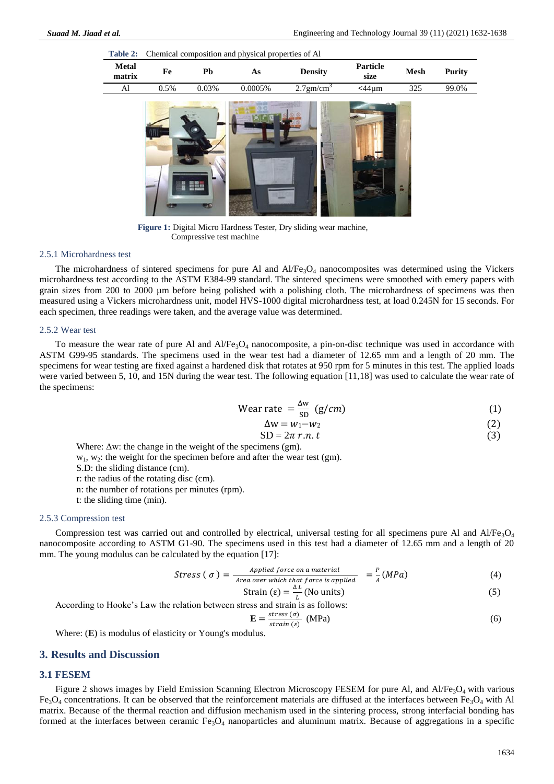| Table 2:               | Chemical composition and physical properties of Al |       |         |                      |                  |             |               |
|------------------------|----------------------------------------------------|-------|---------|----------------------|------------------|-------------|---------------|
| <b>Metal</b><br>matrix | Fe                                                 | Pb    | As      | <b>Density</b>       | Particle<br>size | <b>Mesh</b> | <b>Purity</b> |
| Al                     | 0.5%                                               | 0.03% | 0.0005% | $2.7 \text{gm/cm}^3$ | $<$ 44 $\mu$ m   | 325         | 99.0%         |
|                        |                                                    |       |         |                      |                  | 2           |               |

**Figure 1:** Digital Micro Hardness Tester, Dry sliding wear machine, Compressive test machine

#### 2.5.1 Microhardness test

The microhardness of sintered specimens for pure Al and  $AI/Fe<sub>3</sub>O<sub>4</sub>$  nanocomposites was determined using the Vickers microhardness test according to the ASTM E384-99 standard. The sintered specimens were smoothed with emery papers with grain sizes from 200 to 2000 µm before being polished with a polishing cloth. The microhardness of specimens was then measured using a Vickers microhardness unit, model HVS-1000 digital microhardness test, at load 0.245N for 15 seconds. For each specimen, three readings were taken, and the average value was determined.

#### 2.5.2 Wear test

To measure the wear rate of pure Al and  $AI/Fe_3O_4$  nanocomposite, a pin-on-disc technique was used in accordance with ASTM G99-95 standards. The specimens used in the wear test had a diameter of 12.65 mm and a length of 20 mm. The specimens for wear testing are fixed against a hardened disk that rotates at 950 rpm for 5 minutes in this test. The applied loads were varied between 5, 10, and 15N during the wear test. The following equation [11,18] was used to calculate the wear rate of the specimens:

$$
Wear rate = \frac{\Delta w}{SD} (g/cm)
$$
 (1)

$$
\Delta w = w_1 - w_2 \tag{2}
$$

$$
SD = 2\pi r.n. t \tag{3}
$$

Where:  $\Delta w$ : the change in the weight of the specimens (gm).

- $w_1, w_2$ : the weight for the specimen before and after the wear test (gm).
- S.D: the sliding distance (cm).
- r: the radius of the rotating disc (cm).
- n: the number of rotations per minutes (rpm).
- t: the sliding time (min).

#### 2.5.3 Compression test

Compression test was carried out and controlled by electrical, universal testing for all specimens pure Al and  $AI/Fe<sub>3</sub>O<sub>4</sub>$ nanocomposite according to ASTM G1-90. The specimens used in this test had a diameter of 12.65 mm and a length of 20 mm. The young modulus can be calculated by the equation [17]:

$$
Stress (\sigma) = \frac{\text{Applied force on a material}}{\text{Area over which that force is applied}} = \frac{P}{A} (MPa)
$$
 (4)

Strain 
$$
(\varepsilon) = \frac{\Delta L}{L}
$$
 (No units) (5)

According to Hooke's Law the relation between stress and strain is as follows:

$$
\mathbf{E} = \frac{stress(\sigma)}{strain(\epsilon)} \quad (\text{MPa}) \tag{6}
$$

Where: (**E**) is modulus of elasticity or Young's modulus.

#### **3. Results and Discussion**

#### **3.1 FESEM**

Figure 2 shows images by Field Emission Scanning Electron Microscopy FESEM for pure Al, and Al/Fe<sub>3</sub>O<sub>4</sub> with various  $Fe<sub>3</sub>O<sub>4</sub>$  concentrations. It can be observed that the reinforcement materials are diffused at the interfaces between Fe<sub>3</sub>O<sub>4</sub> with Al matrix. Because of the thermal reaction and diffusion mechanism used in the sintering process, strong interfacial bonding has formed at the interfaces between ceramic  $Fe<sub>3</sub>O<sub>4</sub>$  nanoparticles and aluminum matrix. Because of aggregations in a specific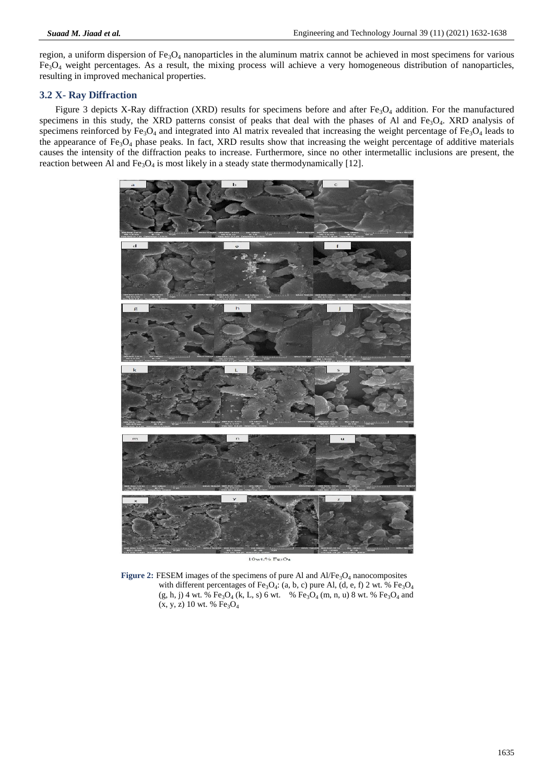region, a uniform dispersion of  $Fe<sub>3</sub>O<sub>4</sub>$  nanoparticles in the aluminum matrix cannot be achieved in most specimens for various  $Fe<sub>3</sub>O<sub>4</sub>$  weight percentages. As a result, the mixing process will achieve a very homogeneous distribution of nanoparticles, resulting in improved mechanical properties.

## **3.2 X- Ray Diffraction**

Figure 3 depicts X-Ray diffraction (XRD) results for specimens before and after  $Fe<sub>3</sub>O<sub>4</sub>$  addition. For the manufactured specimens in this study, the XRD patterns consist of peaks that deal with the phases of Al and Fe<sub>3</sub>O<sub>4</sub>. XRD analysis of specimens reinforced by  $Fe<sub>3</sub>O<sub>4</sub>$  and integrated into Al matrix revealed that increasing the weight percentage of  $Fe<sub>3</sub>O<sub>4</sub>$  leads to the appearance of  $Fe<sub>3</sub>O<sub>4</sub>$  phase peaks. In fact, XRD results show that increasing the weight percentage of additive materials causes the intensity of the diffraction peaks to increase. Furthermore, since no other intermetallic inclusions are present, the reaction between Al and  $Fe<sub>3</sub>O<sub>4</sub>$  is most likely in a steady state thermodynamically [12].



10wt.% FesO4

Figure 2: FESEM images of the specimens of pure Al and Al/Fe<sub>3</sub>O<sub>4</sub> nanocomposites with different percentages of  $Fe<sub>3</sub>O<sub>4</sub>$ : (a, b, c) pure Al, (d, e, f) 2 wt. %  $Fe<sub>3</sub>O<sub>4</sub>$  $(g, h, j)$  4 wt. %  $Fe<sub>3</sub>O<sub>4</sub>$  (k, L, s) 6 wt. %  $Fe<sub>3</sub>O<sub>4</sub>$  (m, n, u) 8 wt. %  $Fe<sub>3</sub>O<sub>4</sub>$  and  $(x, y, z)$  10 wt. %  $Fe<sub>3</sub>O<sub>4</sub>$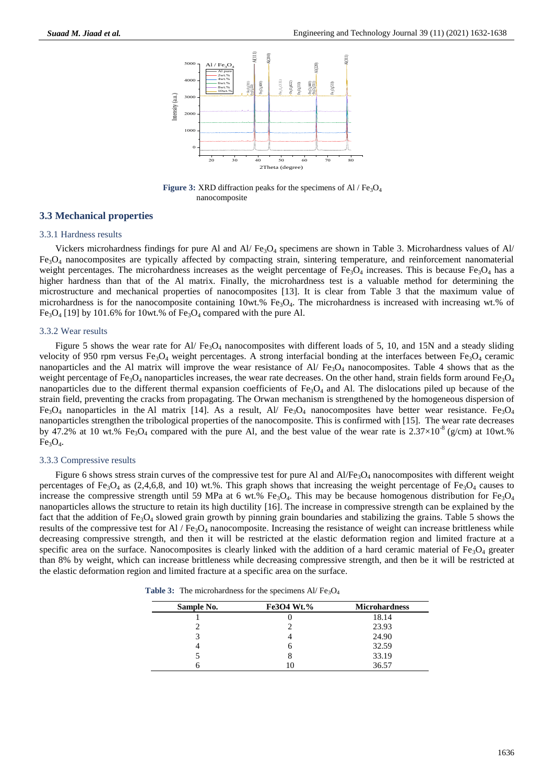

**Figure 3:** XRD diffraction peaks for the specimens of Al / Fe<sub>3</sub>O<sub>4</sub> nanocomposite

#### **3.3 Mechanical properties**

#### 3.3.1 Hardness results

Vickers microhardness findings for pure Al and Al/ Fe3O<sup>4</sup> specimens are shown in Table 3. Microhardness values of Al/ Fe3O<sup>4</sup> nanocomposites are typically affected by compacting strain, sintering temperature, and reinforcement nanomaterial weight percentages. The microhardness increases as the weight percentage of Fe<sub>3</sub>O<sub>4</sub> increases. This is because Fe<sub>3</sub>O<sub>4</sub> has a higher hardness than that of the Al matrix. Finally, the microhardness test is a valuable method for determining the microstructure and mechanical properties of nanocomposites [13]. It is clear from Table 3 that the maximum value of microhardness is for the nanocomposite containing  $10wt$ .  $\%$  Fe<sub>3</sub>O<sub>4</sub>. The microhardness is increased with increasing wt.% of Fe<sub>3</sub>O<sub>4</sub> [19] by 101.6% for 10wt.% of Fe<sub>3</sub>O<sub>4</sub> compared with the pure Al.

#### 3.3.2 Wear results

Figure 5 shows the wear rate for Al/ Fe<sub>3</sub>O<sub>4</sub> nanocomposites with different loads of 5, 10, and 15N and a steady sliding velocity of 950 rpm versus Fe<sub>3</sub>O<sub>4</sub> weight percentages. A strong interfacial bonding at the interfaces between Fe<sub>3</sub>O<sub>4</sub> ceramic nanoparticles and the Al matrix will improve the wear resistance of  $Al/Fe<sub>3</sub>O<sub>4</sub>$  nanocomposites. Table 4 shows that as the weight percentage of Fe<sub>3</sub>O<sub>4</sub> nanoparticles increases, the wear rate decreases. On the other hand, strain fields form around Fe<sub>3</sub>O<sub>4</sub> nanoparticles due to the different thermal expansion coefficients of  $Fe<sub>3</sub>O<sub>4</sub>$  and Al. The dislocations piled up because of the strain field, preventing the cracks from propagating. The Orwan mechanism is strengthened by the homogeneous dispersion of  $Fe<sub>3</sub>O<sub>4</sub>$  nanoparticles in the Al matrix [14]. As a result, Al/  $Fe<sub>3</sub>O<sub>4</sub>$  nanocomposites have better wear resistance.  $Fe<sub>3</sub>O<sub>4</sub>$ nanoparticles strengthen the tribological properties of the nanocomposite. This is confirmed with [15]. The wear rate decreases by 47.2% at 10 wt.% Fe<sub>3</sub>O<sub>4</sub> compared with the pure Al, and the best value of the wear rate is  $2.37 \times 10^{-8}$  (g/cm) at 10wt.%  $Fe<sub>3</sub>O<sub>4</sub>$ .

#### 3.3.3 Compressive results

Figure 6 shows stress strain curves of the compressive test for pure Al and  $Al/Fe<sub>3</sub>O<sub>4</sub>$  nanocomposites with different weight percentages of Fe<sub>3</sub>O<sub>4</sub> as (2,4,6,8, and 10) wt.%. This graph shows that increasing the weight percentage of Fe<sub>3</sub>O<sub>4</sub> causes to increase the compressive strength until 59 MPa at 6 wt.% Fe<sub>3</sub>O<sub>4</sub>. This may be because homogenous distribution for Fe<sub>3</sub>O<sub>4</sub> nanoparticles allows the structure to retain its high ductility [16]. The increase in compressive strength can be explained by the fact that the addition of Fe3O<sup>4</sup> slowed grain growth by pinning grain boundaries and stabilizing the grains. Table 5 shows the results of the compressive test for Al / Fe<sub>3</sub>O<sub>4</sub> nanocomposite. Increasing the resistance of weight can increase brittleness while decreasing compressive strength, and then it will be restricted at the elastic deformation region and limited fracture at a specific area on the surface. Nanocomposites is clearly linked with the addition of a hard ceramic material of  $Fe<sub>3</sub>O<sub>4</sub>$  greater than 8% by weight, which can increase brittleness while decreasing compressive strength, and then be it will be restricted at the elastic deformation region and limited fracture at a specific area on the surface.

**Table 3:** The microhardness for the specimens Al/ $Fe<sub>3</sub>O<sub>4</sub>$ 

| Sample No. | <b>Fe3O4 Wt.%</b> | <b>Microhardness</b> |
|------------|-------------------|----------------------|
|            |                   | 18.14                |
|            |                   | 23.93                |
|            |                   | 24.90                |
|            |                   | 32.59                |
|            |                   | 33.19                |
|            | Ш                 | 36.57                |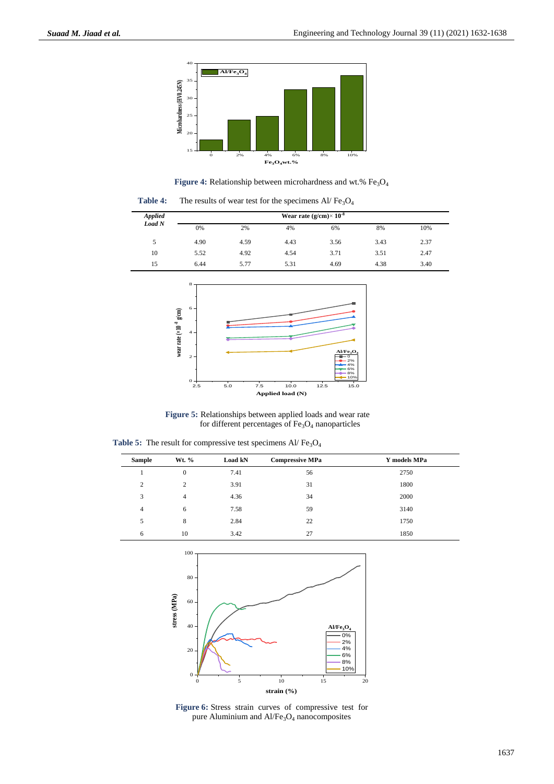

Figure 4: Relationship between microhardness and wt.% Fe<sub>3</sub>O<sub>4</sub>

Table 4: The results of wear test for the specimens Al/Fe<sub>3</sub>O<sub>4</sub>

| <b>Applied</b> | Wear rate (g/cm) $\times$ 10 <sup>-8</sup> |      |      |      |      |      |
|----------------|--------------------------------------------|------|------|------|------|------|
| Load N         | 0%                                         | 2%   | 4%   | 6%   | 8%   | 10%  |
| 5              | 4.90                                       | 4.59 | 4.43 | 3.56 | 3.43 | 2.37 |
| 10             | 5.52                                       | 4.92 | 4.54 | 3.71 | 3.51 | 2.47 |
| 15             | 6.44                                       | 5.77 | 5.31 | 4.69 | 4.38 | 3.40 |



**Figure 5:** Relationships between applied loads and wear rate for different percentages of  $Fe<sub>3</sub>O<sub>4</sub>$  nanoparticles

Table 5: The result for compressive test specimens Al/Fe<sub>3</sub>O<sub>4</sub>

| <b>Sample</b>  | Wt. %            | Load kN | <b>Compressive MPa</b> | Y models MPa |
|----------------|------------------|---------|------------------------|--------------|
|                | $\boldsymbol{0}$ | 7.41    | 56                     | 2750         |
| 2              | 2                | 3.91    | 31                     | 1800         |
| 3              | $\overline{4}$   | 4.36    | 34                     | 2000         |
| $\overline{4}$ | 6                | 7.58    | 59                     | 3140         |
| 5              | 8                | 2.84    | 22                     | 1750         |
| 6              | 10               | 3.42    | 27                     | 1850         |



**Figure 6:** Stress strain curves of compressive test for pure Aluminium and Al/Fe<sub>3</sub>O<sub>4</sub> nanocomposites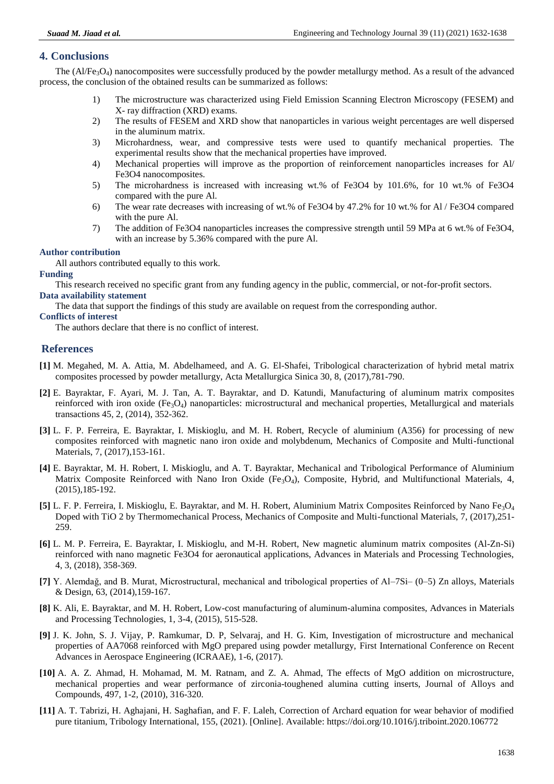# **4. Conclusions**

The  $(A/Fe_3O_4)$  nanocomposites were successfully produced by the powder metallurgy method. As a result of the advanced process, the conclusion of the obtained results can be summarized as follows:

- 1) The microstructure was characterized using Field Emission Scanning Electron Microscopy (FESEM) and X- ray diffraction (XRD) exams.
- 2) The results of FESEM and XRD show that nanoparticles in various weight percentages are well dispersed in the aluminum matrix.
- 3) Microhardness, wear, and compressive tests were used to quantify mechanical properties. The experimental results show that the mechanical properties have improved.
- 4) Mechanical properties will improve as the proportion of reinforcement nanoparticles increases for Al/ Fe3O4 nanocomposites.
- 5) The microhardness is increased with increasing wt.% of Fe3O4 by 101.6%, for 10 wt.% of Fe3O4 compared with the pure Al.
- 6) The wear rate decreases with increasing of wt.% of Fe3O4 by 47.2% for 10 wt.% for Al / Fe3O4 compared with the pure Al.
- 7) The addition of Fe3O4 nanoparticles increases the compressive strength until 59 MPa at 6 wt.% of Fe3O4, with an increase by 5.36% compared with the pure Al.

## **Author contribution**

All authors contributed equally to this work.

#### **Funding**

This research received no specific grant from any funding agency in the public, commercial, or not-for-profit sectors. **Data availability statement**

The data that support the findings of this study are available on request from the corresponding author.

#### **Conflicts of interest**

The authors declare that there is no conflict of interest.

# **References**

- **[1]** M. Megahed, M. A. Attia, M. Abdelhameed, and A. G. El-Shafei, Tribological characterization of hybrid metal matrix composites processed by powder metallurgy, Acta Metallurgica Sinica 30, 8, (2017),781-790.
- **[2]** E. Bayraktar, F. Ayari, M. J. Tan, A. T. Bayraktar, and D. Katundi, Manufacturing of aluminum matrix composites reinforced with iron oxide ( $Fe<sub>3</sub>O<sub>4</sub>$ ) nanoparticles: microstructural and mechanical properties, Metallurgical and materials transactions 45, 2, (2014), 352-362.
- **[3]** L. F. P. Ferreira, E. Bayraktar, I. Miskioglu, and M. H. Robert, Recycle of aluminium (A356) for processing of new composites reinforced with magnetic nano iron oxide and molybdenum, Mechanics of Composite and Multi-functional Materials, 7, (2017),153-161.
- **[4]** E. Bayraktar, M. H. Robert, I. Miskioglu, and A. T. Bayraktar, Mechanical and Tribological Performance of Aluminium Matrix Composite Reinforced with Nano Iron Oxide (Fe<sub>3</sub>O<sub>4</sub>), Composite, Hybrid, and Multifunctional Materials, 4, (2015),185-192.
- **[5]** L. F. P. Ferreira, I. Miskioglu, E. Bayraktar, and M. H. Robert, Aluminium Matrix Composites Reinforced by Nano Fe3O<sup>4</sup> Doped with TiO 2 by Thermomechanical Process, Mechanics of Composite and Multi-functional Materials, 7, (2017),251- 259.
- **[6]** L. M. P. Ferreira, E. Bayraktar, I. Miskioglu, and M-H. Robert, New magnetic aluminum matrix composites (Al-Zn-Si) reinforced with nano magnetic Fe3O4 for aeronautical applications, Advances in Materials and Processing Technologies, 4, 3, (2018), 358-369.
- **[7]** Y. Alemdağ, and B. Murat, Microstructural, mechanical and tribological properties of Al–7Si– (0–5) Zn alloys, Materials & Design, 63, (2014),159-167.
- **[8]** K. Ali, E. Bayraktar, and M. H. Robert, Low-cost manufacturing of aluminum-alumina composites, Advances in Materials and Processing Technologies, 1, 3-4, (2015), 515-528.
- **[9]** J. K. John, S. J. Vijay, P. Ramkumar, D. P, Selvaraj, and H. G. Kim, Investigation of microstructure and mechanical properties of AA7068 reinforced with MgO prepared using powder metallurgy, First International Conference on Recent Advances in Aerospace Engineering (ICRAAE), 1-6, (2017).
- **[10]** A. A. Z. Ahmad, H. Mohamad, M. M. Ratnam, and Z. A. Ahmad, The effects of MgO addition on microstructure, mechanical properties and wear performance of zirconia-toughened alumina cutting inserts, Journal of Alloys and Compounds, 497, 1-2, (2010), 316-320.
- **[11]** A. T. Tabrizi, H. Aghajani, H. Saghafian, and F. F. Laleh, Correction of Archard equation for wear behavior of modified pure titanium, Tribology International, 155, (2021). [Online]. Available:<https://doi.org/10.1016/j.triboint.2020.106772>